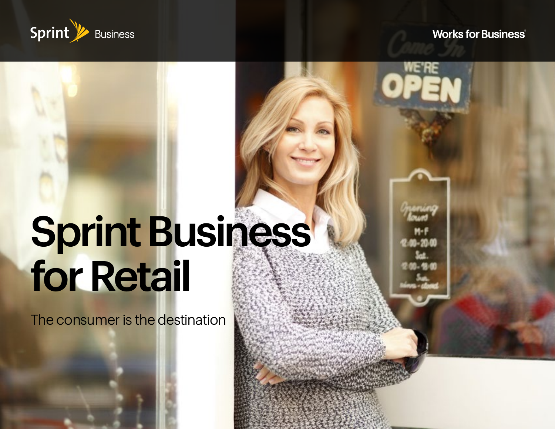

#### **Works for Business**®

# Sprint Business for Retail

The consumer is the destination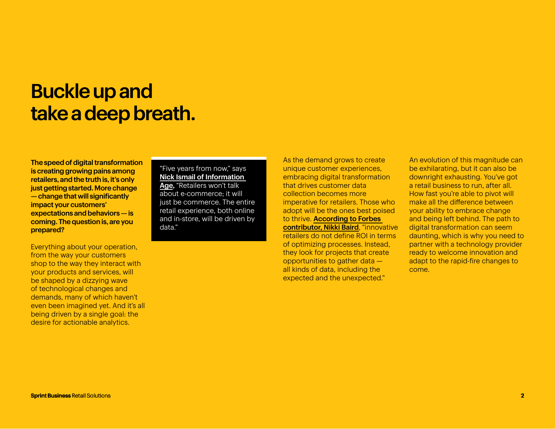#### Buckle up and take a deep breath.

The speed of digital transformation is creating growing pains among retailers, and the truth is, it's only just getting started. More change — change that will significantly impact your customers' expectations and behaviors — is coming. The question is, are you prepared?

Everything about your operation, from the way your customers shop to the way they interact with your products and services, will be shaped by a dizzying wave of technological changes and demands, many of which haven't even been imagined yet. And it's all being driven by a single goal: the desire for actionable analytics.

#### "Five years from now," says [Nick Ismail of Information](https://www.information-age.com/technology-trends-defining-retail-123470781/)

[Age,](https://www.information-age.com/technology-trends-defining-retail-123470781/) "Retailers won't talk about e-commerce; it will just be commerce. The entire retail experience, both online and in-store, will be driven by data."

As the demand grows to create unique customer experiences, embracing digital transformation that drives customer data collection becomes more imperative for retailers. Those who adopt will be the ones best poised to thrive. [According to Forbes](https://www.forbes.com/sites/nikkibaird/2018/03/13/what-digital-transformation-actually-means-for-retail/#7f95bb207038)  [contributor, Nikki Baird](https://www.forbes.com/sites/nikkibaird/2018/03/13/what-digital-transformation-actually-means-for-retail/#7f95bb207038), "innovative retailers do not define ROI in terms of optimizing processes. Instead, they look for projects that create opportunities to gather data all kinds of data, including the expected and the unexpected."

An evolution of this magnitude can be exhilarating, but it can also be downright exhausting. You've got a retail business to run, after all. How fast you're able to pivot will make all the difference between your ability to embrace change and being left behind. The path to digital transformation can seem daunting, which is why you need to partner with a technology provider ready to welcome innovation and adapt to the rapid-fire changes to come.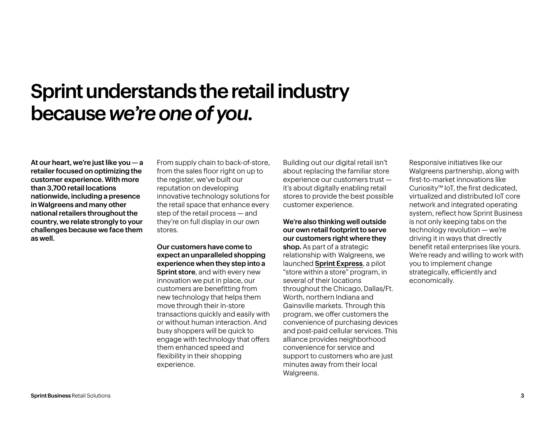#### Sprint understands the retail industry because *we're one of you*.

At our heart, we're just like you — a retailer focused on optimizing the customer experience. With more than 3,700 retail locations nationwide, including a presence in Walgreens and many other national retailers throughout the country, we relate strongly to your challenges because we face them as well.

From supply chain to back-of-store, from the sales floor right on up to the register, we've built our reputation on developing innovative technology solutions for the retail space that enhance every step of the retail process — and they're on full display in our own stores.

Our customers have come to expect an unparalleled shopping experience when they step into a **Sprint store, and with every new** innovation we put in place, our customers are benefitting from new technology that helps them move through their in-store transactions quickly and easily with or without human interaction. And busy shoppers will be quick to engage with technology that offers them enhanced speed and flexibility in their shopping experience.

Building out our digital retail isn't about replacing the familiar store experience our customers trust it's about digitally enabling retail stores to provide the best possible customer experience.

We're also thinking well outside our own retail footprint to serve our customers right where they shop. As part of a strategic relationship with Walgreens, we launched [Sprint Express](http://Sprint Express), a pilot "store within a store" program, in several of their locations throughout the Chicago, Dallas/Ft. Worth, northern Indiana and Gainsville markets. Through this program, we offer customers the convenience of purchasing devices and post-paid cellular services. This alliance provides neighborhood convenience for service and support to customers who are just minutes away from their local Walgreens.

Responsive initiatives like our Walgreens partnership, along with first-to-market innovations like Curiosity™ IoT, the first dedicated, virtualized and distributed IoT core network and integrated operating system, reflect how Sprint Business is not only keeping tabs on the technology revolution — we're driving it in ways that directly benefit retail enterprises like yours. We're ready and willing to work with you to implement change strategically, efficiently and economically.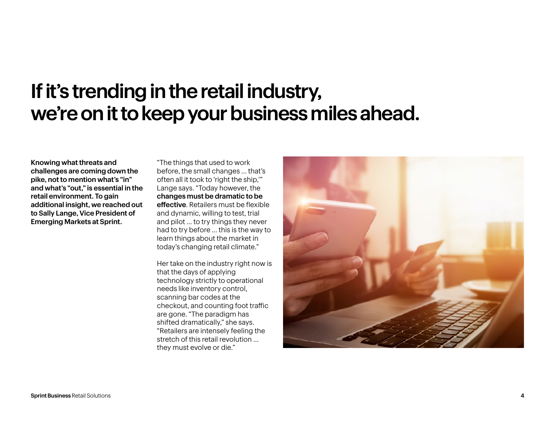#### If it's trending in the retail industry, we're on it to keep your business miles ahead.

Knowing what threats and challenges are coming down the pike, not to mention what's "in" and what's "out," is essential in the retail environment. To gain additional insight, we reached out to Sally Lange, Vice President of Emerging Markets at Sprint.

"The things that used to work before, the small changes … that's often all it took to 'right the ship,'" Lange says. "Today however, the changes must be dramatic to be effective. Retailers must be flexible and dynamic, willing to test, trial and pilot … to try things they never had to try before … this is the way to learn things about the market in today's changing retail climate."

Her take on the industry right now is that the days of applying technology strictly to operational needs like inventory control, scanning bar codes at the checkout, and counting foot traffic are gone. "The paradigm has shifted dramatically," she says. "Retailers are intensely feeling the stretch of this retail revolution … they must evolve or die."

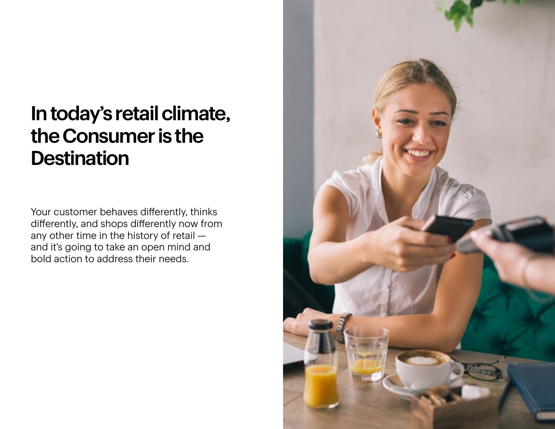### In today's retail climate, the Consumer is the **Destination**

Your customer behaves differently, thinks differently, and shops differently now from any other time in the history of retail and it's going to take an open mind and bold action to address their needs.

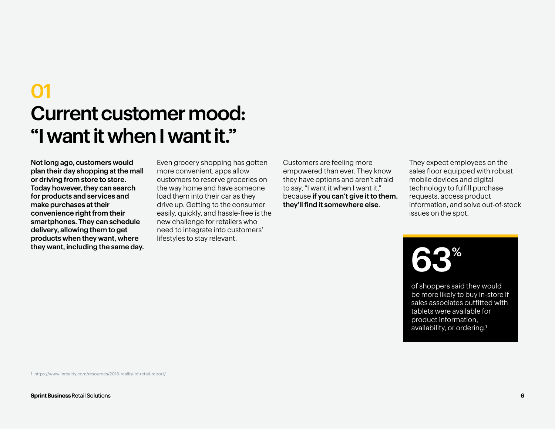## Current customer mood: "I want it when I want it." 01

Not long ago, customers would plan their day shopping at the mall or driving from store to store. Today however, they can search for products and services and make purchases at their convenience right from their smartphones. They can schedule delivery, allowing them to get products when they want, where they want, including the same day.

Even grocery shopping has gotten more convenient, apps allow customers to reserve groceries on the way home and have someone load them into their car as they drive up. Getting to the consumer easily, quickly, and hassle-free is the new challenge for retailers who need to integrate into customers' lifestyles to stay relevant.

Customers are feeling more empowered than ever. They know they have options and aren't afraid to say, "I want it when I want it," because if you can't give it to them, they'll find it somewhere else.

They expect employees on the sales floor equipped with robust mobile devices and digital technology to fulfill purchase requests, access product information, and solve out-of-stock issues on the spot.

## 63%

of shoppers said they would be more likely to buy in-store if sales associates outfitted with tablets were available for product information, availability, or ordering.<sup>1</sup>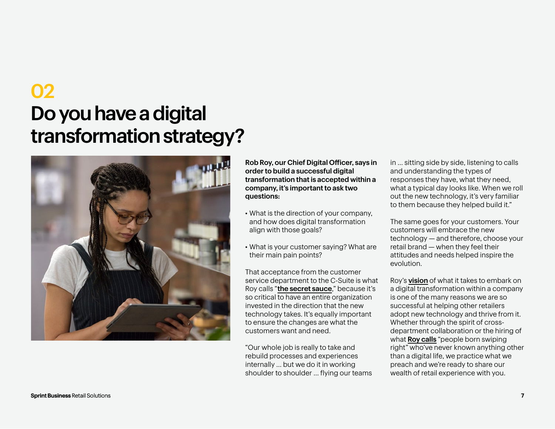## Do you have a digital transformation strategy? 02



Rob Roy, our Chief Digital Officer, says in order to build a successful digital transformation that is accepted within a company, it's important to ask two questions:

- What is the direction of your company, and how does digital transformation align with those goals?
- What is your customer saying? What are their main pain points?

That acceptance from the customer service department to the C-Suite is what Roy calls "[the secret sauce](http://the secret sauce)," because it's so critical to have an entire organization invested in the direction that the new technology takes. It's equally important to ensure the changes are what the customers want and need.

"Our whole job is really to take and rebuild processes and experiences internally … but we do it in working shoulder to shoulder … flying our teams in … sitting side by side, listening to calls and understanding the types of responses they have, what they need, what a typical day looks like. When we roll out the new technology, it's very familiar to them because they helped build it."

The same goes for your customers. Your customers will embrace the new technology — and therefore, choose your retail brand — when they feel their attitudes and needs helped inspire the evolution.

Roy's **[vision](http://vision)** of what it takes to embark on a digital transformation within a company is one of the many reasons we are so successful at helping other retailers adopt new technology and thrive from it. Whether through the spirit of crossdepartment collaboration or the hiring of what **[Roy calls](http://Roy calls)** "people born swiping right" who've never known anything other than a digital life, we practice what we preach and we're ready to share our wealth of retail experience with you.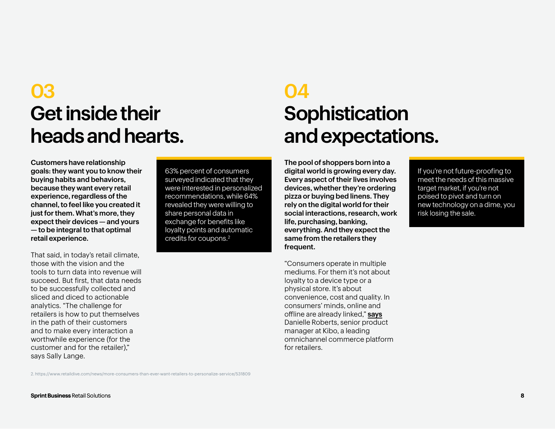#### 03 Get inside their heads and hearts.

Customers have relationship goals: they want you to know their buying habits and behaviors, because they want every retail experience, regardless of the channel, to feel like you created it just for them. What's more, they expect their devices — and yours — to be integral to that optimal retail experience.

That said, in today's retail climate, those with the vision and the tools to turn data into revenue will succeed. But first, that data needs to be successfully collected and sliced and diced to actionable analytics. "The challenge for retailers is how to put themselves in the path of their customers and to make every interaction a worthwhile experience (for the customer and for the retailer)," says Sally Lange.

63% percent of consumers surveyed indicated that they were interested in personalized recommendations, while 64% revealed they were willing to share personal data in exchange for benefits like loyalty points and automatic credits for coupons.2

#### **04 Sophistication** and expectations.

The pool of shoppers born into a digital world is growing every day. Every aspect of their lives involves devices, whether they're ordering pizza or buying bed linens. They rely on the digital world for their social interactions, research, work life, purchasing, banking, everything. And they expect the same from the retailers they frequent.

"Consumers operate in multiple mediums. For them it's not about loyalty to a device type or a physical store. It's about convenience, cost and quality. In consumers' minds, online and offline are already linked," [says](http://says) Danielle Roberts, senior product manager at Kibo, a leading omnichannel commerce platform for retailers.

If you're not future-proofing to meet the needs of this massive target market, if you're not poised to pivot and turn on new technology on a dime, you risk losing the sale.

2. https://www.retaildive.com/news/more-consumers-than-ever-want-retailers-to-personalize-service/531809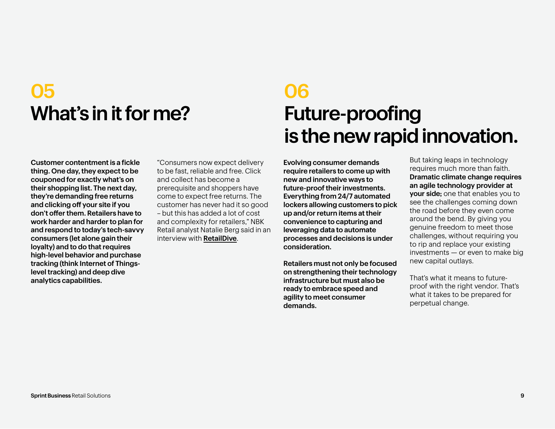#### 05 What's in it for me?

#### 06 Future-proofing is the new rapid innovation.

Customer contentment is a fickle thing. One day, they expect to be couponed for exactly what's on their shopping list. The next day, they're demanding free returns and clicking off your site if you don't offer them. Retailers have to work harder and harder to plan for and respond to today's tech-savvy consumers (let alone gain their loyalty) and to do that requires high-level behavior and purchase tracking (think Internet of Thingslevel tracking) and deep dive analytics capabilities.

"Consumers now expect delivery to be fast, reliable and free. Click and collect has become a prerequisite and shoppers have come to expect free returns. The customer has never had it so good – but this has added a lot of cost and complexity for retailers," NBK Retail analyst Natalie Berg said in an interview with [RetailDive](http://RetailDive).

Evolving consumer demands require retailers to come up with new and innovative ways to future-proof their investments. Everything from 24/7 automated lockers allowing customers to pick up and/or return items at their convenience to capturing and leveraging data to automate processes and decisions is under consideration.

Retailers must not only be focused on strengthening their technology infrastructure but must also be ready to embrace speed and agility to meet consumer demands.

But taking leaps in technology requires much more than faith. Dramatic climate change requires an agile technology provider at your side; one that enables you to see the challenges coming down the road before they even come around the bend. By giving you genuine freedom to meet those challenges, without requiring you to rip and replace your existing investments — or even to make big new capital outlays.

That's what it means to futureproof with the right vendor. That's what it takes to be prepared for perpetual change.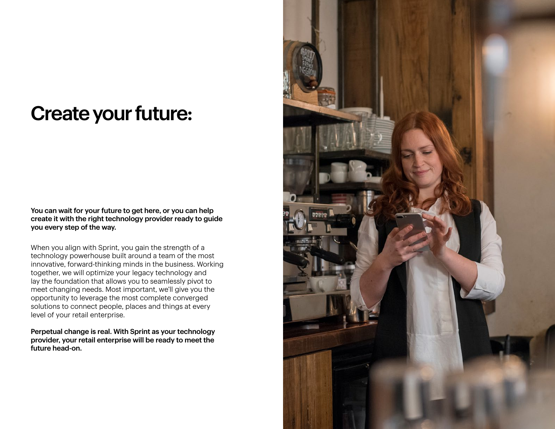#### Create your future:

You can wait for your future to get here, or you can help create it with the right technology provider ready to guide you every step of the way.

When you align with Sprint, you gain the strength of a technology powerhouse built around a team of the most innovative, forward-thinking minds in the business. Working together, we will optimize your legacy technology and lay the foundation that allows you to seamlessly pivot to meet changing needs. Most important, we'll give you the opportunity to leverage the most complete converged solutions to connect people, places and things at every level of your retail enterprise.

Perpetual change is real. With Sprint as your technology provider, your retail enterprise will be ready to meet the future head-on.

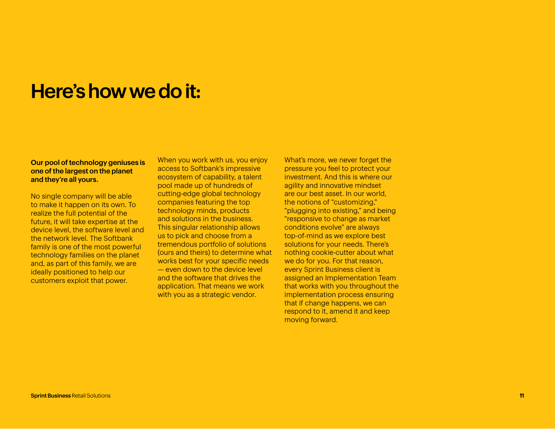#### Here's how we do it:

#### Our pool of technology geniuses is one of the largest on the planet and they're all yours.

No single company will be able to make it happen on its own. To realize the full potential of the future, it will take expertise at the device level, the software level and the network level. The Softbank family is one of the most powerful technology families on the planet and, as part of this family, we are ideally positioned to help our customers exploit that power.

When you work with us, you enjoy access to Softbank's impressive ecosystem of capability, a talent pool made up of hundreds of cutting-edge global technology companies featuring the top technology minds, products and solutions in the business. This singular relationship allows us to pick and choose from a tremendous portfolio of solutions (ours and theirs) to determine what works best for your specific needs — even down to the device level and the software that drives the application. That means we work with you as a strategic vendor.

What's more, we never forget the pressure you feel to protect your investment. And this is where our agility and innovative mindset are our best asset. In our world, the notions of "customizing," "plugging into existing," and being "responsive to change as market conditions evolve" are always top-of-mind as we explore best solutions for your needs. There's nothing cookie-cutter about what we do for you. For that reason, every Sprint Business client is assigned an Implementation Team that works with you throughout the implementation process ensuring that if change happens, we can respond to it, amend it and keep moving forward.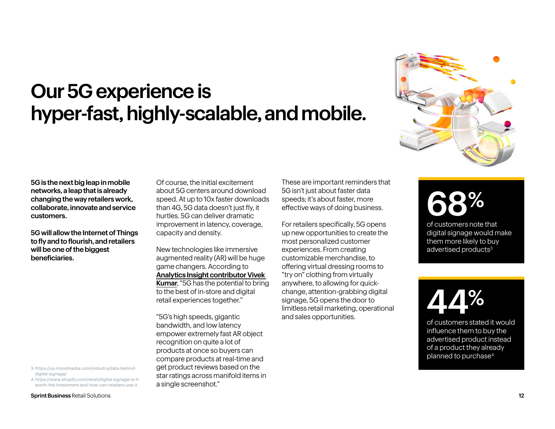#### Our 5G experience is hyper-fast, highly-scalable, and mobile.



5G is the next big leap in mobile networks, a leap that is already changing the way retailers work, collaborate, innovate and service customers.

5G will allow the Internet of Things to fly and to flourish, and retailers will be one of the biggest beneficiaries.

4. https://www.shopify.com/retail/digital-signage-is-itworth-the-investment-and-how-can-retailers-use-it

Of course, the initial excitement about 5G centers around download speed. At up to 10x faster downloads than 4G, 5G data doesn't just fly, it hurtles. 5G can deliver dramatic improvement in latency, coverage, capacity and density.

New technologies like immersive augmented reality (AR) will be huge game changers. According to [Analytics Insight contributor Vivek](https://www.analyticsinsight.net/transforming-retail-with-5g-and-augmented-reality/)  [Kumar](https://www.analyticsinsight.net/transforming-retail-with-5g-and-augmented-reality/), "5G has the potential to bring to the best of in-store and digital retail experiences together."

"5G's high speeds, gigantic bandwidth, and low latency empower extremely fast AR object recognition on quite a lot of products at once so buyers can compare products at real-time and get product reviews based on the star ratings across manifold items in a single screenshot."

These are important reminders that 5G isn't just about faster data speeds; it's about faster, more effective ways of doing business.

For retailers specifically, 5G opens up new opportunities to create the most personalized customer experiences. From creating customizable merchandise, to offering virtual dressing rooms to "try on" clothing from virtually anywhere, to allowing for quickchange, attention-grabbing digital signage, 5G opens the door to limitless retail marketing, operational and sales opportunities.

## 68�

of customers note that digital signage would make them more likely to buy advertised products<sup>3</sup>

44�

of customers stated it would influence them to buy the advertised product instead of a product they already planned to purchase4

Sprint Business Retail Solutions 12

<sup>3.</sup> https://us.moodmedia.com/industry/data-behinddigital-signage/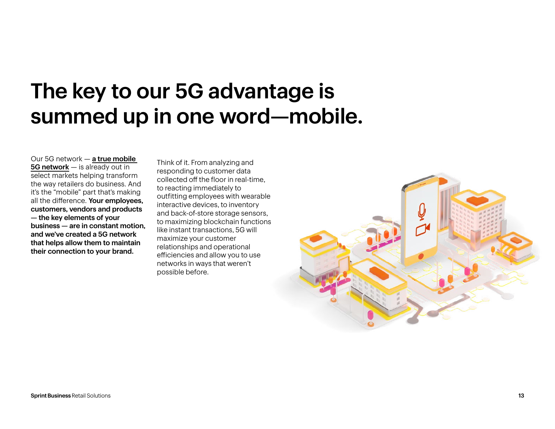## The key to our 5G advantage is summed up in one word—mobile.

Our 5G network — [a true mobile](https://www.theverge.com/2019/5/30/18645663/sprint-5g-network-now-available-atlanta-dallas-houston-kansas-city-verizon-at-t)  [5G network](https://www.theverge.com/2019/5/30/18645663/sprint-5g-network-now-available-atlanta-dallas-houston-kansas-city-verizon-at-t) – is already out in select markets helping transform the way retailers do business. And it's the "mobile" part that's making all the difference. Your employees, customers, vendors and products — the key elements of your business — are in constant motion, and we've created a 5G network that helps allow them to maintain their connection to your brand.

Think of it. From analyzing and responding to customer data collected off the floor in real-time, to reacting immediately to outfitting employees with wearable interactive devices, to inventory and back-of-store storage sensors, to maximizing blockchain functions like instant transactions, 5G will maximize your customer relationships and operational efficiencies and allow you to use networks in ways that weren't possible before.

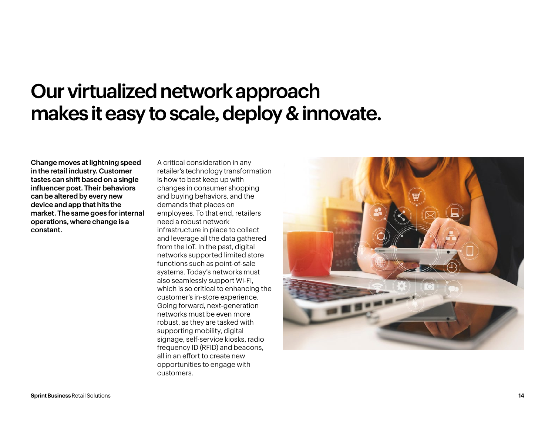#### Our virtualized network approach makes it easy to scale, deploy & innovate.

Change moves at lightning speed in the retail industry. Customer tastes can shift based on a single influencer post. Their behaviors can be altered by every new device and app that hits the market. The same goes for internal operations, where change is a constant.

A critical consideration in any retailer's technology transformation is how to best keep up with changes in consumer shopping and buying behaviors, and the demands that places on employees. To that end, retailers need a robust network infrastructure in place to collect and leverage all the data gathered from the IoT. In the past, digital networks supported limited store functions such as point-of-sale systems. Today's networks must also seamlessly support Wi-Fi, which is so critical to enhancing the customer's in-store experience. Going forward, next-generation networks must be even more robust, as they are tasked with supporting mobility, digital signage, self-service kiosks, radio frequency ID (RFID) and beacons, all in an effort to create new opportunities to engage with customers.

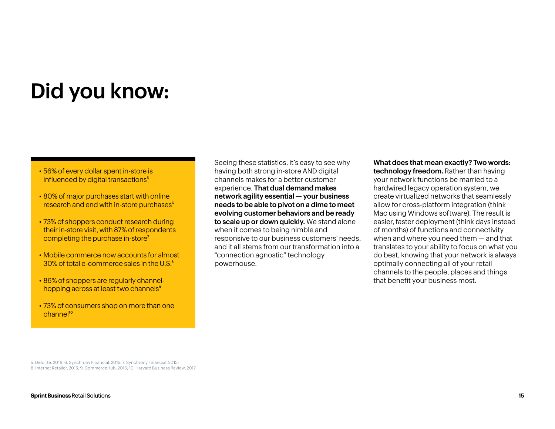## Did you know:

- [56% of every dollar spent in-store is](http://56% of every dollar spent in-store is influenced by digital transactions)  influenced by digital transactions<sup>5</sup>
- [80% of major purchases start with online](http://80% of major purchases start with online research and end with in-store purchases 2)  [research and end with in-store purchases](http://80% of major purchases start with online research and end with in-store purchases 2)<sup>6</sup>
- [73% of shoppers conduct research during](http://73% of shoppers conduct research during their in-store visit, with 87% of respondents completing the purchase in-store 3)  [their in-store visit, with 87% of respondents](http://73% of shoppers conduct research during their in-store visit, with 87% of respondents completing the purchase in-store 3)  [completing the purchase in-store](http://73% of shoppers conduct research during their in-store visit, with 87% of respondents completing the purchase in-store 3)<sup>7</sup>
- [Mobile commerce now accounts for almost](http://Mobile commerce now accounts for almost 30% of total e-commerce sales in the U.S. 4 )  30% of total e-commerce sales in the U.S.<sup>8</sup>
- [86% of shoppers are regularly channel](http://86% of shoppers are regularly channel-hopping across at least two channels 5 )hopping across at least two channels<sup>9</sup>
- 73% of consumers shop on more than one channel<sup>10</sup>

Seeing these statistics, it's easy to see why having both strong in-store AND digital channels makes for a better customer experience. That dual demand makes network agility essential — your business needs to be able to pivot on a dime to meet evolving customer behaviors and be ready to scale up or down quickly. We stand alone when it comes to being nimble and responsive to our business customers' needs, and it all stems from our transformation into a "connection agnostic" technology powerhouse.

What does that mean exactly? Two words: technology freedom. Rather than having your network functions be married to a hardwired legacy operation system, we create virtualized networks that seamlessly allow for cross-platform integration (think Mac using Windows software). The result is easier, faster deployment (think days instead of months) of functions and connectivity when and where you need them — and that translates to your ability to focus on what you do best, knowing that your network is always optimally connecting all of your retail channels to the people, places and things that benefit your business most.

5. Deloitte, 2016; 6. Synchrony Financial, 2015; 7. Synchrony Financial, 2015; 8. Internet Retailer, 2015; 9. CommerceHub, 2016; 10. Harvard Business Review, 2017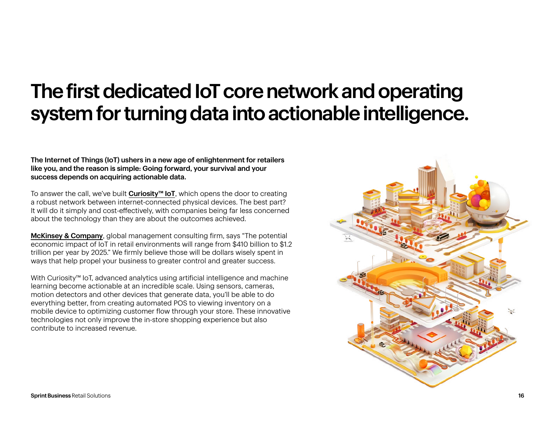#### The first dedicated IoT core network and operating system for turning data into actionable intelligence.

The Internet of Things (IoT) ushers in a new age of enlightenment for retailers like you, and the reason is simple: Going forward, your survival and your success depends on acquiring actionable data.

To answer the call, we've built [Curiosity™ IoT](https://business.sprint.com/solutions/internet-of-things/), which opens the door to creating a robust network between internet-connected physical devices. The best part? It will do it simply and cost-effectively, with companies being far less concerned about the technology than they are about the outcomes achieved.

**[McKinsey & Company](https://blog.hubspot.com/marketing/iot-retail)**, global management consulting firm, says "The potential economic impact of IoT in retail environments will range from \$410 billion to \$1.2 trillion per year by 2025." We firmly believe those will be dollars wisely spent in ways that help propel your business to greater control and greater success.

With Curiosity™ IoT, advanced analytics using artificial intelligence and machine learning become actionable at an incredible scale. Using sensors, cameras, motion detectors and other devices that generate data, you'll be able to do everything better, from creating automated POS to viewing inventory on a mobile device to optimizing customer flow through your store. These innovative technologies not only improve the in-store shopping experience but also contribute to increased revenue.

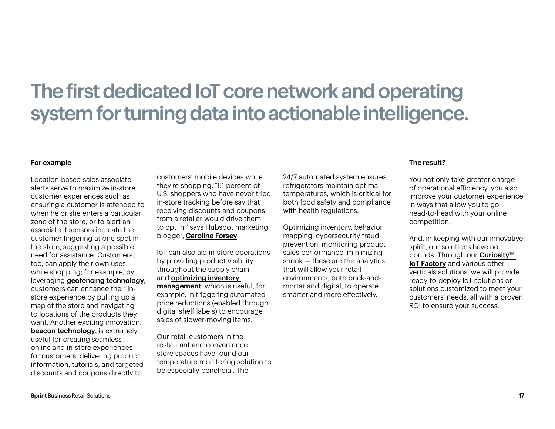#### The first dedicated IoT core network and operating system for turning data into actionable intelligence.

#### For example

Location-based sales associate alerts serve to maximize in-store customer experiences such as ensuring a customer is attended to when he or she enters a particular zone of the store, or to alert an associate if sensors indicate the customer lingering at one spot in the store, suggesting a possible need for assistance. Customers, too, can apply their own uses while shopping; for example, by leveraging geofencing technology, customers can enhance their instore experience by pulling up a map of the store and navigating to locations of the products they want. Another exciting innovation, beacon technology, is extremely useful for creating seamless online and in-store experiences for customers, delivering product information, tutorials, and targeted discounts and coupons directly to

customers' mobile devices while they're shopping. "61 percent of U.S. shoppers who have never tried in-store tracking before say that receiving discounts and coupons from a retailer would drive them to opt in." says Hubspot marketing blogger, [Caroline Forsey](https://blog.hubspot.com/marketing/beacon-technology).

IoT can also aid in-store operations by providing product visibility throughout the supply chain and [optimizing inventory](https://business.sprint.com/blog/iot-mean-inventory-things/)  [management](https://business.sprint.com/blog/iot-mean-inventory-things/), which is useful, for example, in triggering automated price reductions (enabled through digital shelf labels) to encourage sales of slower-moving items.

Our retail customers in the restaurant and convenience store spaces have found our temperature monitoring solution to be especially beneficial. The

24/7 automated system ensures refrigerators maintain optimal temperatures, which is critical for both food safety and compliance with health regulations.

Optimizing inventory, behavior mapping, cybersecurity fraud prevention, monitoring product sales performance, minimizing shrink — these are the analytics that will allow your retail environments, both brick-andmortar and digital, to operate smarter and more effectively.

#### The result?

You not only take greater charge of operational efficiency, you also improve your customer experience in ways that allow you to go head-to-head with your online competition.

And, in keeping with our innovative spirit, our solutions have no bounds. Through our **Curiosity**™ **[IoT Factory](https://business.sprint.com/iot-factory/)** and various other verticals solutions, we will provide ready-to-deploy IoT solutions or solutions customized to meet your customers' needs, all with a proven ROI to ensure your success.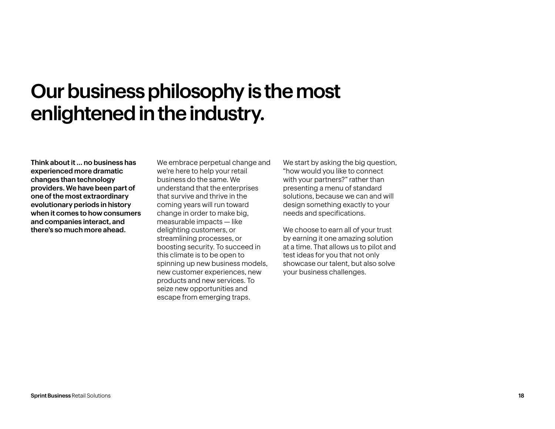#### Our business philosophy is the most enlightened in the industry.

Think about it … no business has experienced more dramatic changes than technology providers. We have been part of one of the most extraordinary evolutionary periods in history when it comes to how consumers and companies interact, and there's so much more ahead.

We embrace perpetual change and we're here to help your retail business do the same. We understand that the enterprises that survive and thrive in the coming years will run toward change in order to make big, measurable impacts — like delighting customers, or streamlining processes, or boosting security. To succeed in this climate is to be open to spinning up new business models, new customer experiences, new products and new services. To seize new opportunities and escape from emerging traps.

We start by asking the big question, "how would you like to connect with your partners?" rather than presenting a menu of standard solutions, because we can and will design something exactly to your needs and specifications.

We choose to earn all of your trust by earning it one amazing solution at a time. That allows us to pilot and test ideas for you that not only showcase our talent, but also solve your business challenges.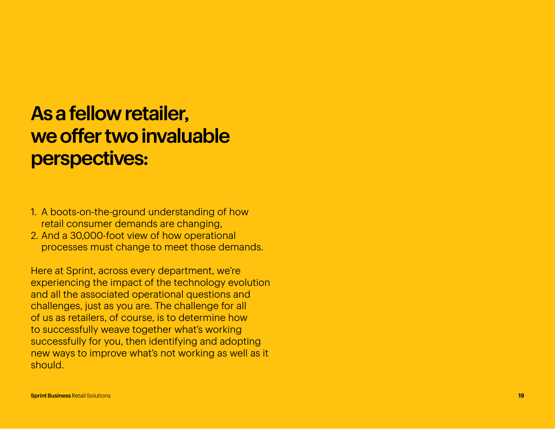#### As a fellow retailer, we offer two invaluable perspectives:

- 1. A boots-on-the-ground understanding of how retail consumer demands are changing,
- 2. And a 30,000-foot view of how operational processes must change to meet those demands.

Here at Sprint, across every department, we're experiencing the impact of the technology evolution and all the associated operational questions and challenges, just as you are. The challenge for all of us as retailers, of course, is to determine how to successfully weave together what's working successfully for you, then identifying and adopting new ways to improve what's not working as well as it should.